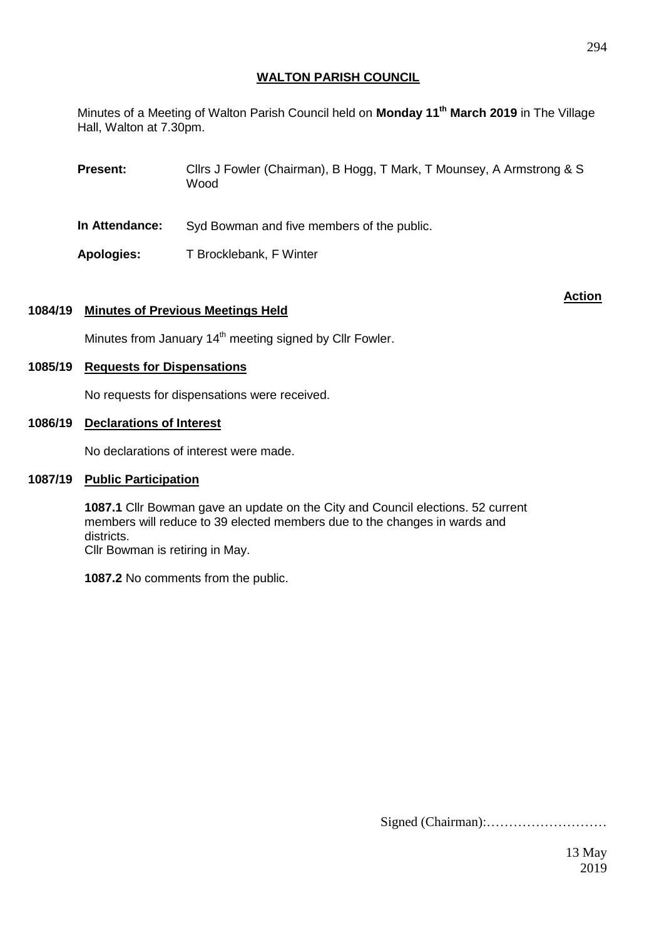## **WALTON PARISH COUNCIL**

Minutes of a Meeting of Walton Parish Council held on **Monday 11th March 2019** in The Village Hall, Walton at 7.30pm.

**Present:** Cllrs J Fowler (Chairman), B Hogg, T Mark, T Mounsey, A Armstrong & S Wood

- **In Attendance:** Syd Bowman and five members of the public.
- Apologies: T Brocklebank, F Winter

## **1084/19 Minutes of Previous Meetings Held**

**Action**

Minutes from January 14<sup>th</sup> meeting signed by Cllr Fowler.

## **1085/19 Requests for Dispensations**

No requests for dispensations were received.

## **1086/19 Declarations of Interest**

No declarations of interest were made.

# **1087/19 Public Participation**

**1087.1** Cllr Bowman gave an update on the City and Council elections. 52 current members will reduce to 39 elected members due to the changes in wards and districts.

Cllr Bowman is retiring in May.

**1087.2** No comments from the public.

Signed (Chairman):………………………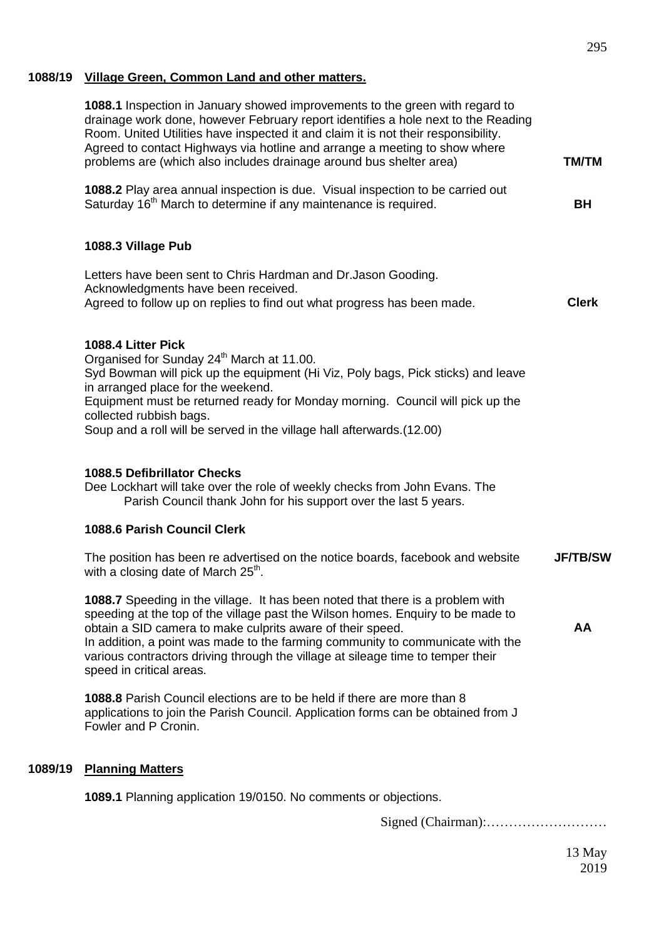# **1088/19 Village Green, Common Land and other matters.**

|         | 1088.1 Inspection in January showed improvements to the green with regard to<br>drainage work done, however February report identifies a hole next to the Reading<br>Room. United Utilities have inspected it and claim it is not their responsibility.<br>Agreed to contact Highways via hotline and arrange a meeting to show where<br>problems are (which also includes drainage around bus shelter area)                     | <b>TM/TM</b>    |
|---------|----------------------------------------------------------------------------------------------------------------------------------------------------------------------------------------------------------------------------------------------------------------------------------------------------------------------------------------------------------------------------------------------------------------------------------|-----------------|
|         | 1088.2 Play area annual inspection is due. Visual inspection to be carried out<br>Saturday 16 <sup>th</sup> March to determine if any maintenance is required.                                                                                                                                                                                                                                                                   | <b>BH</b>       |
|         | 1088.3 Village Pub                                                                                                                                                                                                                                                                                                                                                                                                               |                 |
|         | Letters have been sent to Chris Hardman and Dr. Jason Gooding.<br>Acknowledgments have been received.<br>Agreed to follow up on replies to find out what progress has been made.                                                                                                                                                                                                                                                 | <b>Clerk</b>    |
|         | 1088.4 Litter Pick<br>Organised for Sunday 24 <sup>th</sup> March at 11.00.<br>Syd Bowman will pick up the equipment (Hi Viz, Poly bags, Pick sticks) and leave<br>in arranged place for the weekend.<br>Equipment must be returned ready for Monday morning. Council will pick up the<br>collected rubbish bags.<br>Soup and a roll will be served in the village hall afterwards. (12.00)                                      |                 |
|         | <b>1088.5 Defibrillator Checks</b><br>Dee Lockhart will take over the role of weekly checks from John Evans. The<br>Parish Council thank John for his support over the last 5 years.                                                                                                                                                                                                                                             |                 |
|         | 1088.6 Parish Council Clerk                                                                                                                                                                                                                                                                                                                                                                                                      |                 |
|         | The position has been re advertised on the notice boards, facebook and website<br>with a closing date of March 25 <sup>th</sup> .                                                                                                                                                                                                                                                                                                | <b>JF/TB/SW</b> |
|         | 1088.7 Speeding in the village. It has been noted that there is a problem with<br>speeding at the top of the village past the Wilson homes. Enquiry to be made to<br>obtain a SID camera to make culprits aware of their speed.<br>In addition, a point was made to the farming community to communicate with the<br>various contractors driving through the village at sileage time to temper their<br>speed in critical areas. | AA              |
|         | <b>1088.8</b> Parish Council elections are to be held if there are more than 8<br>applications to join the Parish Council. Application forms can be obtained from J<br>Fowler and P Cronin.                                                                                                                                                                                                                                      |                 |
| 1089/19 | <b>Planning Matters</b>                                                                                                                                                                                                                                                                                                                                                                                                          |                 |
|         | 1089.1 Planning application 19/0150. No comments or objections.                                                                                                                                                                                                                                                                                                                                                                  |                 |
|         |                                                                                                                                                                                                                                                                                                                                                                                                                                  |                 |

Signed (Chairman):………………………

13 May 2019